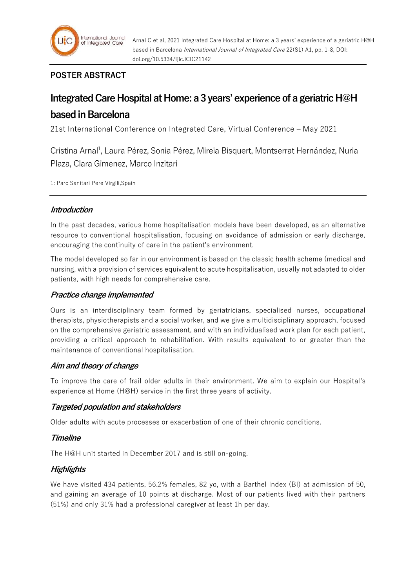

# **POSTER ABSTRACT**

# **Integrated Care Hospital at Home: a 3 years' experience of a geriatric H@H based in Barcelona**

21st International Conference on Integrated Care, Virtual Conference – May 2021

Cristina Arnal<sup>1</sup>, Laura Pérez, Sonia Pérez, Mireia Bisquert, Montserrat Hernández, Nuria Plaza, Clara Gimenez, Marco Inzitari

1: Parc Sanitari Pere Virgili,Spain

## **Introduction**

In the past decades, various home hospitalisation models have been developed, as an alternative resource to conventional hospitalisation, focusing on avoidance of admission or early discharge, encouraging the continuity of care in the patient's environment.

The model developed so far in our environment is based on the classic health scheme (medical and nursing, with a provision of services equivalent to acute hospitalisation, usually not adapted to older patients, with high needs for comprehensive care.

## **Practice change implemented**

Ours is an interdisciplinary team formed by geriatricians, specialised nurses, occupational therapists, physiotherapists and a social worker, and we give a multidisciplinary approach, focused on the comprehensive geriatric assessment, and with an individualised work plan for each patient, providing a critical approach to rehabilitation. With results equivalent to or greater than the maintenance of conventional hospitalisation.

## **Aim and theory of change**

To improve the care of frail older adults in their environment. We aim to explain our Hospital's experience at Home (H@H) service in the first three years of activity.

## **Targeted population and stakeholders**

Older adults with acute processes or exacerbation of one of their chronic conditions.

## **Timeline**

The H@H unit started in December 2017 and is still on-going.

## **Highlights**

We have visited 434 patients, 56.2% females, 82 yo, with a Barthel Index (BI) at admission of 50, and gaining an average of 10 points at discharge. Most of our patients lived with their partners (51%) and only 31% had a professional caregiver at least 1h per day.